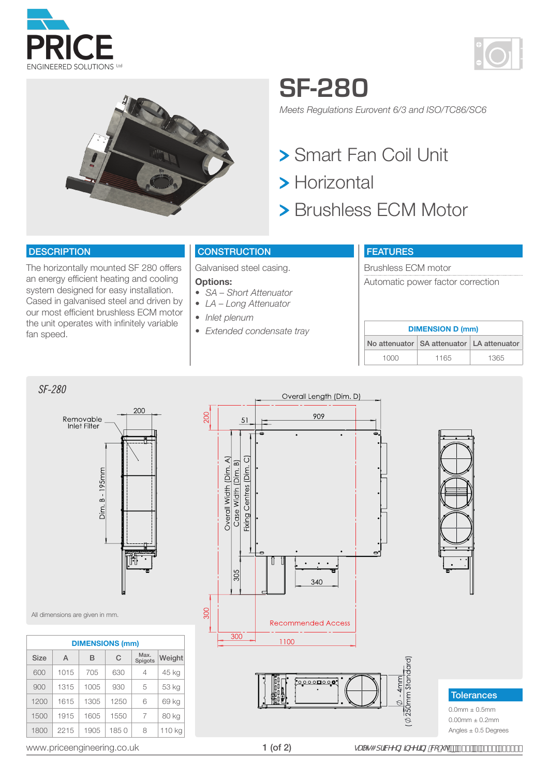





## **SF-280**

*Meets Regulations Eurovent 6/3 and ISO/TC86/SC6*

- Smart Fan Coil Unit
- > Horizontal
- > Brushless ECM Motor

#### **DESCRIPTION**

*SF-280*

The horizontally mounted SF 280 offers an energy efficient heating and cooling system designed for easy installation. Cased in galvanised steel and driven by our most efficient brushless ECM motor the unit operates with infinitely variable fan speed.

#### **CONSTRUCTION**

Galvanised steel casing.

#### **Options:**

- *• SA Short Attenuator*
- *• LA Long Attenuator*
- *• Inlet plenum*
- *• Extended condensate tray*

### FEATURES

Brushless ECM motor Automatic power factor correction

| <b>DIMENSION D (mm)</b> |                                               |      |  |  |  |  |  |  |  |  |
|-------------------------|-----------------------------------------------|------|--|--|--|--|--|--|--|--|
|                         | No attenuator   SA attenuator   LA attenuator |      |  |  |  |  |  |  |  |  |
| 1000                    | 1165                                          | 1365 |  |  |  |  |  |  |  |  |





All dimensions are given in mm.

|             | <b>DIMENSIONS (mm)</b> |      |      |                 |        |  |  |  |  |  |  |  |  |
|-------------|------------------------|------|------|-----------------|--------|--|--|--|--|--|--|--|--|
| <b>Size</b> | A                      | в    | C    | Max.<br>Spigots | Weight |  |  |  |  |  |  |  |  |
| 600         | 1015                   | 705  | 630  | 4               | 45 kg  |  |  |  |  |  |  |  |  |
| 900         | 1315                   | 1005 | 930  | 5               | 53 kg  |  |  |  |  |  |  |  |  |
| 1200        | 1615                   | 1305 | 1250 | 6               | 69 kg  |  |  |  |  |  |  |  |  |
| 1500        | 1915                   | 1605 | 1550 | 7               | 80 kg  |  |  |  |  |  |  |  |  |
| 1800        | 2215                   | 1905 | 1850 | 8               | 110 kg |  |  |  |  |  |  |  |  |